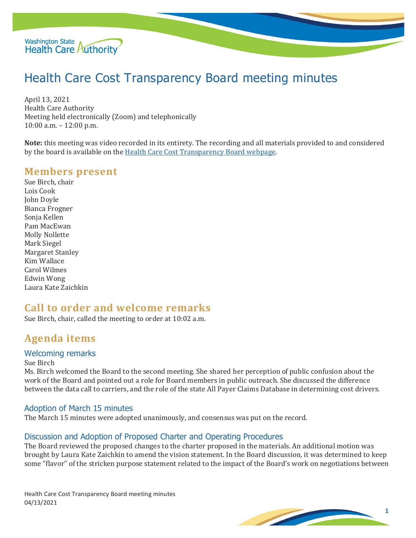

# Health Care Cost Transparency Board meeting minutes

April 13, 2021 Health Care Authority Meeting held electronically (Zoom) and telephonically 10:00 a.m. – 12:00 p.m.

**Note:** this meeting was video recorded in its entirety. The recording and all materials provided to and considered by the board is available on the [Health Care Cost Transparency Board webpage.](https://www.hca.wa.gov/about-hca/health-care-cost-transparency-board) 

#### **Members present**

Sue Birch, chair Lois Cook John Doyle Bianca Frogner Sonja Kellen Pam MacEwan Molly Nollette Mark Siegel Margaret Stanley Kim Wallace Carol Wilmes Edwin Wong Laura Kate Zaichkin

## **Call to order and welcome remarks**

Sue Birch, chair, called the meeting to order at 10:02 a.m.

## **Agenda items**

#### Welcoming remarks

Sue Birch

Ms. Birch welcomed the Board to the second meeting. She shared her perception of public confusion about the work of the Board and pointed out a role for Board members in public outreach. She discussed the difference between the data call to carriers, and the role of the state All Payer Claims Database in determining cost drivers.

#### Adoption of March 15 minutes

The March 15 minutes were adopted unanimously, and consensus was put on the record.

#### Discussion and Adoption of Proposed Charter and Operating Procedures

The Board reviewed the proposed changes to the charter proposed in the materials. An additional motion was brought by Laura Kate Zaichkin to amend the vision statement. In the Board discussion, it was determined to keep some "flavor" of the stricken purpose statement related to the impact of the Board's work on negotiations between

Health Care Cost Transparency Board meeting minutes 04/13/2021